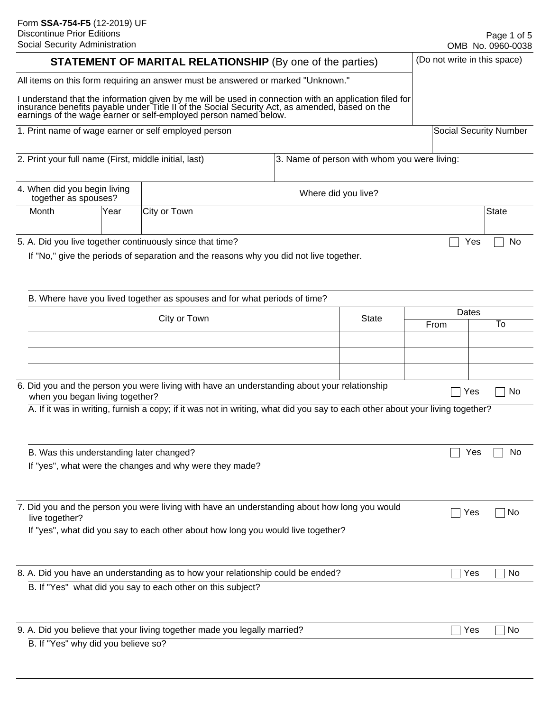| Social Security Administration                       |                                     |                                                                                                                                                                                                                                                                                                                          |                     |                                              |                               | OMB No. 0960-0038 |
|------------------------------------------------------|-------------------------------------|--------------------------------------------------------------------------------------------------------------------------------------------------------------------------------------------------------------------------------------------------------------------------------------------------------------------------|---------------------|----------------------------------------------|-------------------------------|-------------------|
|                                                      |                                     | <b>STATEMENT OF MARITAL RELATIONSHIP</b> (By one of the parties)                                                                                                                                                                                                                                                         |                     |                                              | (Do not write in this space)  |                   |
|                                                      |                                     | All items on this form requiring an answer must be answered or marked "Unknown."<br>I understand that the information given by me will be used in connection with an application filed for<br>insurance benefits payable under Title II of the Social Security Act, as amended, based on the<br>earnings of the wage ear |                     |                                              |                               |                   |
|                                                      |                                     |                                                                                                                                                                                                                                                                                                                          |                     |                                              |                               |                   |
|                                                      |                                     | 1. Print name of wage earner or self employed person                                                                                                                                                                                                                                                                     |                     |                                              | <b>Social Security Number</b> |                   |
|                                                      |                                     | 2. Print your full name (First, middle initial, last)                                                                                                                                                                                                                                                                    |                     | 3. Name of person with whom you were living: |                               |                   |
| 4. When did you begin living<br>together as spouses? |                                     |                                                                                                                                                                                                                                                                                                                          | Where did you live? |                                              |                               |                   |
| Month                                                | Year                                | City or Town                                                                                                                                                                                                                                                                                                             |                     |                                              |                               | State             |
|                                                      |                                     | 5. A. Did you live together continuously since that time?<br>If "No," give the periods of separation and the reasons why you did not live together.                                                                                                                                                                      |                     |                                              | Yes                           | No                |
|                                                      |                                     | B. Where have you lived together as spouses and for what periods of time?                                                                                                                                                                                                                                                |                     |                                              |                               |                   |
|                                                      |                                     | City or Town                                                                                                                                                                                                                                                                                                             |                     | <b>State</b>                                 | Dates<br>From                 | To                |
|                                                      |                                     |                                                                                                                                                                                                                                                                                                                          |                     |                                              |                               |                   |
|                                                      |                                     |                                                                                                                                                                                                                                                                                                                          |                     |                                              |                               |                   |
|                                                      |                                     |                                                                                                                                                                                                                                                                                                                          |                     |                                              |                               |                   |
|                                                      | when you began living together?     | 6. Did you and the person you were living with have an understanding about your relationship                                                                                                                                                                                                                             |                     |                                              | Yes                           | No                |
|                                                      |                                     | A. If it was in writing, furnish a copy; if it was not in writing, what did you say to each other about your living together?                                                                                                                                                                                            |                     |                                              |                               |                   |
|                                                      |                                     | B. Was this understanding later changed?                                                                                                                                                                                                                                                                                 |                     |                                              | Yes                           | No                |
|                                                      |                                     | If "yes", what were the changes and why were they made?                                                                                                                                                                                                                                                                  |                     |                                              |                               |                   |
|                                                      |                                     |                                                                                                                                                                                                                                                                                                                          |                     |                                              |                               |                   |
| live together?                                       |                                     | 7. Did you and the person you were living with have an understanding about how long you would<br>If "yes", what did you say to each other about how long you would live together?                                                                                                                                        |                     |                                              | Yes                           | ⊺No               |
|                                                      |                                     |                                                                                                                                                                                                                                                                                                                          |                     |                                              |                               |                   |
|                                                      |                                     | 8. A. Did you have an understanding as to how your relationship could be ended?                                                                                                                                                                                                                                          |                     |                                              | Yes                           | No                |
|                                                      |                                     | B. If "Yes" what did you say to each other on this subject?                                                                                                                                                                                                                                                              |                     |                                              |                               |                   |
|                                                      |                                     | 9. A. Did you believe that your living together made you legally married?                                                                                                                                                                                                                                                |                     |                                              | Yes                           | No                |
|                                                      | B. If "Yes" why did you believe so? |                                                                                                                                                                                                                                                                                                                          |                     |                                              |                               |                   |
|                                                      |                                     |                                                                                                                                                                                                                                                                                                                          |                     |                                              |                               |                   |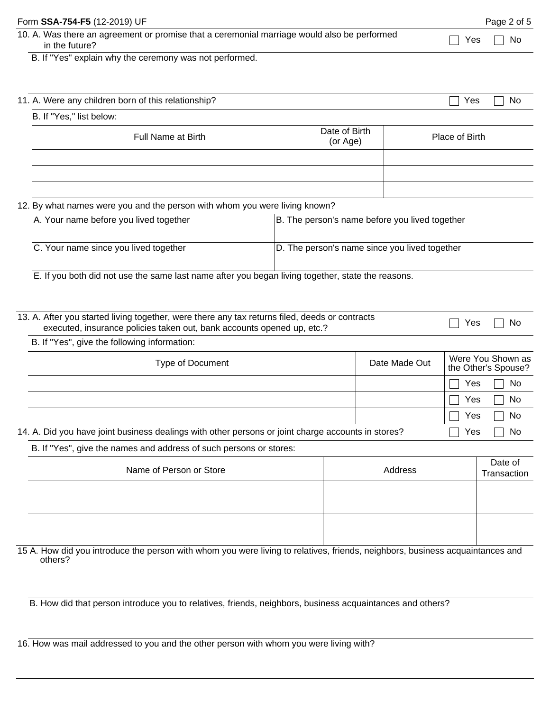| Form SSA-754-F5 (12-2019) UF                                                                                                                                             |                           |                                                |                | Page 2 of 5                              |
|--------------------------------------------------------------------------------------------------------------------------------------------------------------------------|---------------------------|------------------------------------------------|----------------|------------------------------------------|
| 10. A. Was there an agreement or promise that a ceremonial marriage would also be performed<br>in the future?                                                            |                           |                                                | Yes            | No                                       |
| B. If "Yes" explain why the ceremony was not performed.                                                                                                                  |                           |                                                |                |                                          |
|                                                                                                                                                                          |                           |                                                |                |                                          |
| 11. A. Were any children born of this relationship?                                                                                                                      |                           |                                                | Yes            | No                                       |
| B. If "Yes," list below:                                                                                                                                                 |                           |                                                |                |                                          |
| <b>Full Name at Birth</b>                                                                                                                                                | Date of Birth<br>(or Age) |                                                | Place of Birth |                                          |
|                                                                                                                                                                          |                           |                                                |                |                                          |
| 12. By what names were you and the person with whom you were living known?                                                                                               |                           |                                                |                |                                          |
| A. Your name before you lived together                                                                                                                                   |                           | B. The person's name before you lived together |                |                                          |
| C. Your name since you lived together                                                                                                                                    |                           | D. The person's name since you lived together  |                |                                          |
| E. If you both did not use the same last name after you began living together, state the reasons.                                                                        |                           |                                                |                |                                          |
|                                                                                                                                                                          |                           |                                                |                |                                          |
| 13. A. After you started living together, were there any tax returns filed, deeds or contracts<br>executed, insurance policies taken out, bank accounts opened up, etc.? |                           |                                                | Yes            | No                                       |
| B. If "Yes", give the following information:                                                                                                                             |                           |                                                |                |                                          |
| Type of Document                                                                                                                                                         |                           | Date Made Out                                  |                | Were You Shown as<br>the Other's Spouse? |
|                                                                                                                                                                          |                           |                                                | Yes            | No                                       |
|                                                                                                                                                                          |                           |                                                | Yes            | No                                       |
|                                                                                                                                                                          |                           |                                                | Yes            | No                                       |
| 14. A. Did you have joint business dealings with other persons or joint charge accounts in stores?                                                                       |                           |                                                | Yes            | No                                       |
| B. If "Yes", give the names and address of such persons or stores:                                                                                                       |                           |                                                |                |                                          |
| Name of Person or Store                                                                                                                                                  |                           | Address                                        |                | Date of<br>Transaction                   |
|                                                                                                                                                                          |                           |                                                |                |                                          |
|                                                                                                                                                                          |                           |                                                |                |                                          |
| 15 A. How did you introduce the person with whom you were living to relatives, friends, neighbors, business acquaintances and                                            |                           |                                                |                |                                          |
| others?                                                                                                                                                                  |                           |                                                |                |                                          |
| B. How did that person introduce you to relatives, friends, neighbors, business acquaintances and others?                                                                |                           |                                                |                |                                          |

16. How was mail addressed to you and the other person with whom you were living with?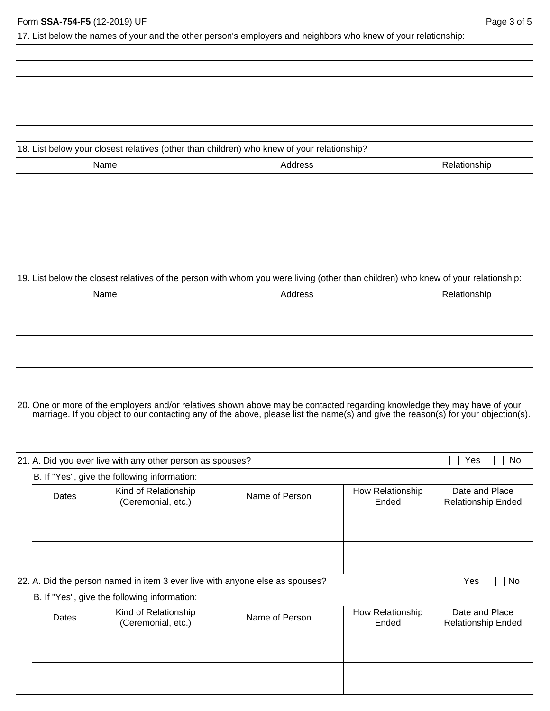17. List below the names of your and the other person's employers and neighbors who knew of your relationship:

## 18. List below your closest relatives (other than children) who knew of your relationship?

| Name | Address | Relationship |
|------|---------|--------------|
|      |         |              |
|      |         |              |
|      |         |              |
|      |         |              |
|      |         |              |
|      |         |              |

19. List below the closest relatives of the person with whom you were living (other than children) who knew of your relationship:

| Name | Address | Relationship |
|------|---------|--------------|
|      |         |              |
|      |         |              |
|      |         |              |
|      |         |              |
|      |         |              |
|      |         |              |

20. One or more of the employers and/or relatives shown above may be contacted regarding knowledge they may have of your marriage. If you object to our contacting any of the above, please list the name(s) and give the reason(s) for your objection(s).

| 21. A. Did you ever live with any other person as spouses? |                                                                              |                                              |                | Yes<br>No                 |                                             |
|------------------------------------------------------------|------------------------------------------------------------------------------|----------------------------------------------|----------------|---------------------------|---------------------------------------------|
|                                                            |                                                                              | B. If "Yes", give the following information: |                |                           |                                             |
|                                                            | Dates                                                                        | Kind of Relationship<br>(Ceremonial, etc.)   | Name of Person | How Relationship<br>Ended | Date and Place<br><b>Relationship Ended</b> |
|                                                            |                                                                              |                                              |                |                           |                                             |
|                                                            |                                                                              |                                              |                |                           |                                             |
|                                                            |                                                                              |                                              |                |                           |                                             |
|                                                            |                                                                              |                                              |                |                           |                                             |
|                                                            | 22. A. Did the person named in item 3 ever live with anyone else as spouses? |                                              |                |                           | Yes<br>No.                                  |

B. If "Yes", give the following information:

| Dates | Kind of Relationship<br>(Ceremonial, etc.) | Name of Person | How Relationship<br>Ended | Date and Place<br><b>Relationship Ended</b> |
|-------|--------------------------------------------|----------------|---------------------------|---------------------------------------------|
|       |                                            |                |                           |                                             |
|       |                                            |                |                           |                                             |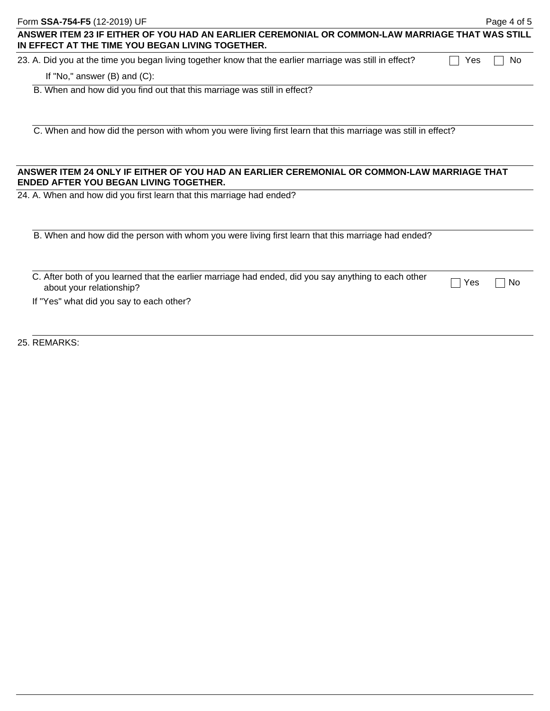| Form SSA-754-F5 (12-2019) UF                                                                                                                        | Page 4 of 5 |
|-----------------------------------------------------------------------------------------------------------------------------------------------------|-------------|
| ANSWER ITEM 23 IF EITHER OF YOU HAD AN EARLIER CEREMONIAL OR COMMON-LAW MARRIAGE THAT WAS STILL<br>IN EFFECT AT THE TIME YOU BEGAN LIVING TOGETHER. |             |
| 23. A. Did you at the time you began living together know that the earlier marriage was still in effect?<br>Yes                                     | No          |
| If "No," answer $(B)$ and $(C)$ :                                                                                                                   |             |
| B. When and how did you find out that this marriage was still in effect?                                                                            |             |
| C. When and how did the person with whom you were living first learn that this marriage was still in effect?                                        |             |
| ANSWER ITEM 24 ONLY IF EITHER OF YOU HAD AN EARLIER CEREMONIAL OR COMMON-LAW MARRIAGE THAT<br><b>ENDED AFTER YOU BEGAN LIVING TOGETHER.</b>         |             |
| 24. A. When and how did you first learn that this marriage had ended?                                                                               |             |
| B. When and how did the person with whom you were living first learn that this marriage had ended?                                                  |             |
| C. After both of you learned that the earlier marriage had ended, did you say anything to each other<br>Yes<br>about your relationship?             | No          |
| If "Yes" what did you say to each other?                                                                                                            |             |
| 25. REMARKS:                                                                                                                                        |             |